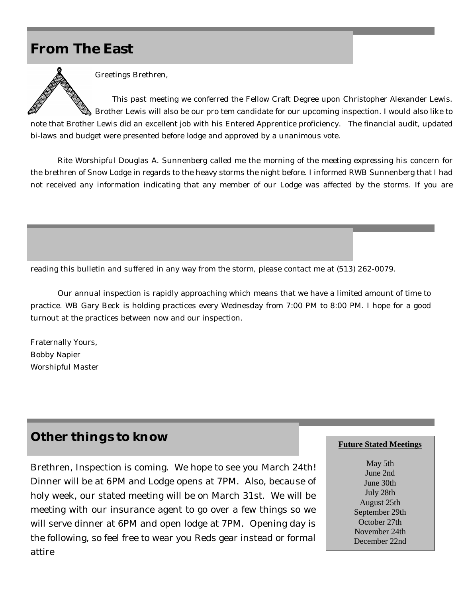## **From The East**



Greetings Brethren,

This past meeting we conferred the Fellow Craft Degree upon Christopher Alexander Lewis.  $\$  Brother Lewis will also be our pro tem candidate for our upcoming inspection. I would also like to note that Brother Lewis did an excellent job with his Entered Apprentice proficiency. The financial audit, updated bi-laws and budget were presented before lodge and approved by a unanimous vote.

Rite Worshipful Douglas A. Sunnenberg called me the morning of the meeting expressing his concern for the brethren of Snow Lodge in regards to the heavy storms the night before. I informed RWB Sunnenberg that I had not received any information indicating that any member of our Lodge was affected by the storms. If you are

reading this bulletin and suffered in any way from the storm, please contact me at (513) 262-0079.

Our annual inspection is rapidly approaching which means that we have a limited amount of time to practice. WB Gary Beck is holding practices every Wednesday from 7:00 PM to 8:00 PM. I hope for a good turnout at the practices between now and our inspection.

Fraternally Yours, Bobby Napier Worshipful Master

## **Other things to know**

Brethren, Inspection is coming. We hope to see you March 24th! Dinner will be at 6PM and Lodge opens at 7PM. Also, because of holy week, our stated meeting will be on March 31st. We will be meeting with our insurance agent to go over a few things so we will serve dinner at 6PM and open lodge at 7PM. Opening day is the following, so feel free to wear you Reds gear instead or formal attire

#### **Future Stated Meetings**

May 5th June 2nd June 30th July 28th August 25th September 29th October 27th November 24th December 22nd